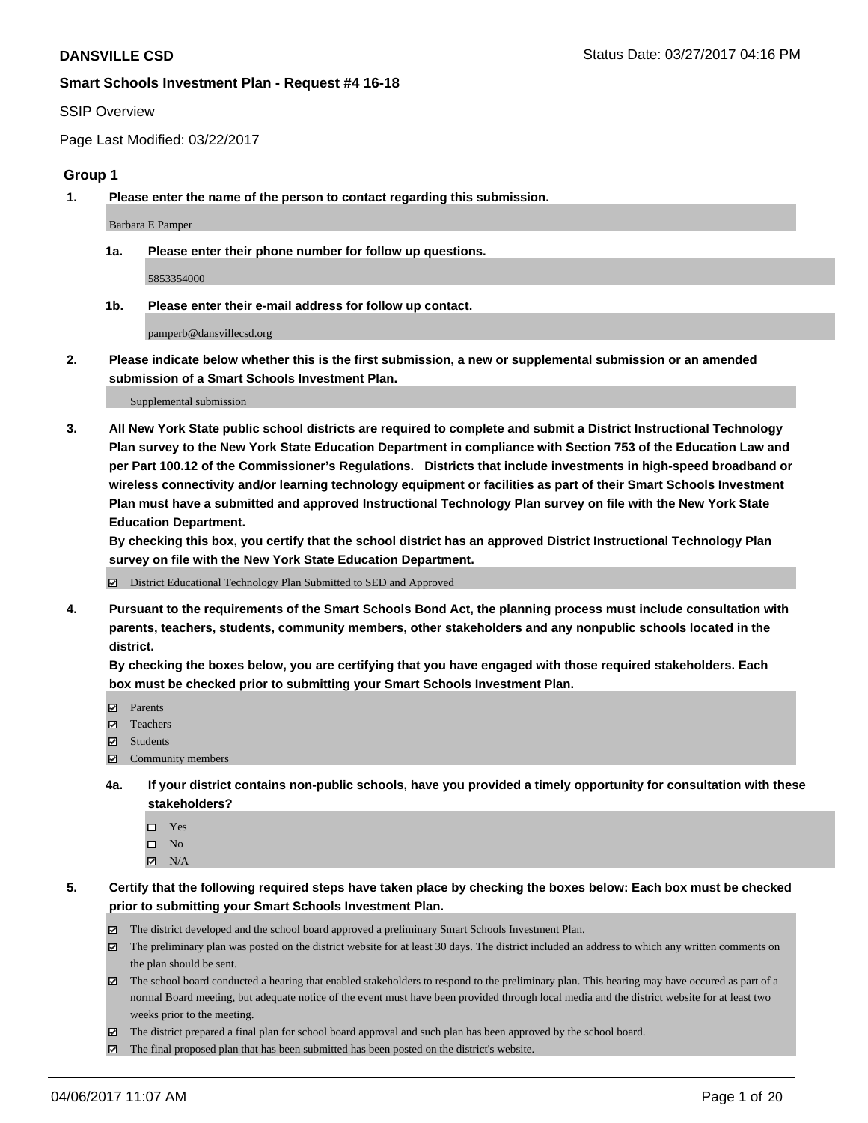#### SSIP Overview

Page Last Modified: 03/22/2017

#### **Group 1**

**1. Please enter the name of the person to contact regarding this submission.**

Barbara E Pamper

**1a. Please enter their phone number for follow up questions.**

5853354000

**1b. Please enter their e-mail address for follow up contact.**

pamperb@dansvillecsd.org

**2. Please indicate below whether this is the first submission, a new or supplemental submission or an amended submission of a Smart Schools Investment Plan.**

Supplemental submission

**3. All New York State public school districts are required to complete and submit a District Instructional Technology Plan survey to the New York State Education Department in compliance with Section 753 of the Education Law and per Part 100.12 of the Commissioner's Regulations. Districts that include investments in high-speed broadband or wireless connectivity and/or learning technology equipment or facilities as part of their Smart Schools Investment Plan must have a submitted and approved Instructional Technology Plan survey on file with the New York State Education Department.** 

**By checking this box, you certify that the school district has an approved District Instructional Technology Plan survey on file with the New York State Education Department.**

District Educational Technology Plan Submitted to SED and Approved

**4. Pursuant to the requirements of the Smart Schools Bond Act, the planning process must include consultation with parents, teachers, students, community members, other stakeholders and any nonpublic schools located in the district.** 

**By checking the boxes below, you are certifying that you have engaged with those required stakeholders. Each box must be checked prior to submitting your Smart Schools Investment Plan.**

- **マ** Parents
- □ Teachers
- Students
- $\Xi$  Community members
- **4a. If your district contains non-public schools, have you provided a timely opportunity for consultation with these stakeholders?**
	- Yes
	- $\hfill \square$  No
	- $\boxtimes$  N/A
- **5. Certify that the following required steps have taken place by checking the boxes below: Each box must be checked prior to submitting your Smart Schools Investment Plan.**
	- The district developed and the school board approved a preliminary Smart Schools Investment Plan.
	- $\boxtimes$  The preliminary plan was posted on the district website for at least 30 days. The district included an address to which any written comments on the plan should be sent.
	- $\boxtimes$  The school board conducted a hearing that enabled stakeholders to respond to the preliminary plan. This hearing may have occured as part of a normal Board meeting, but adequate notice of the event must have been provided through local media and the district website for at least two weeks prior to the meeting.
	- The district prepared a final plan for school board approval and such plan has been approved by the school board.
	- $\boxtimes$  The final proposed plan that has been submitted has been posted on the district's website.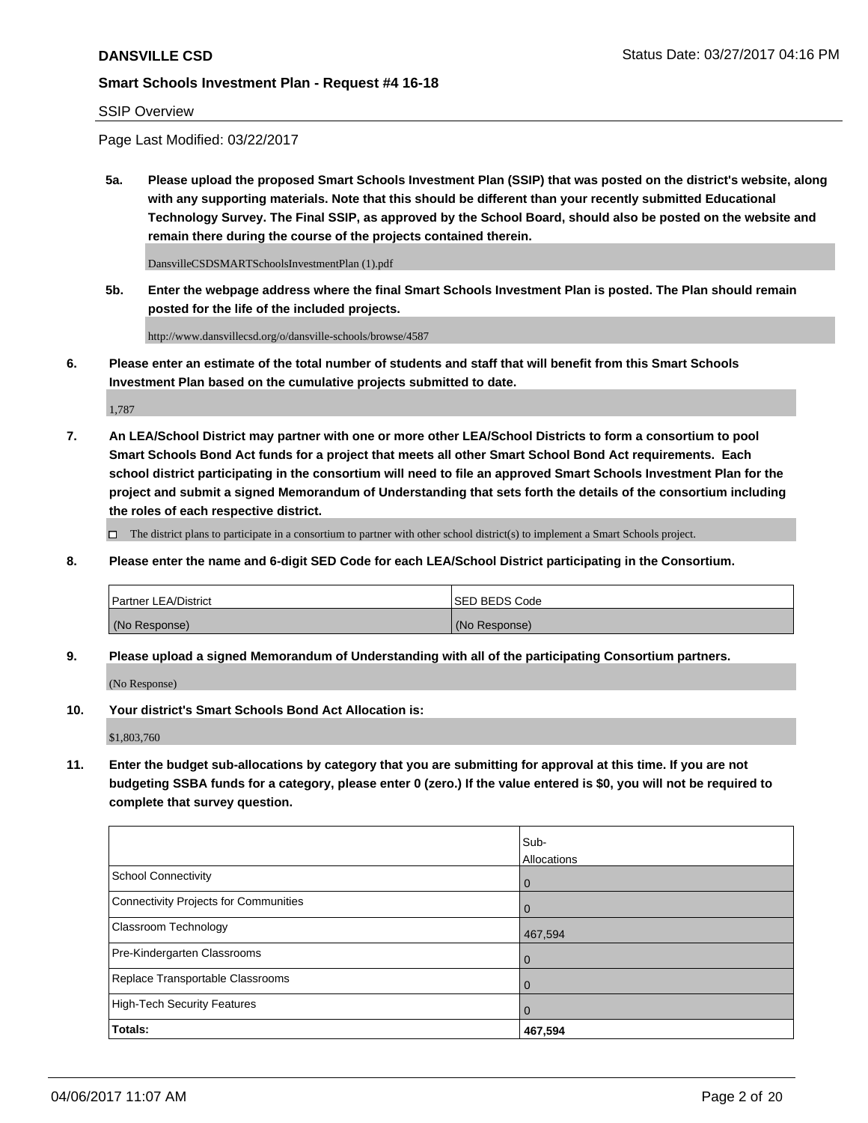SSIP Overview

Page Last Modified: 03/22/2017

**5a. Please upload the proposed Smart Schools Investment Plan (SSIP) that was posted on the district's website, along with any supporting materials. Note that this should be different than your recently submitted Educational Technology Survey. The Final SSIP, as approved by the School Board, should also be posted on the website and remain there during the course of the projects contained therein.**

DansvilleCSDSMARTSchoolsInvestmentPlan (1).pdf

**5b. Enter the webpage address where the final Smart Schools Investment Plan is posted. The Plan should remain posted for the life of the included projects.**

http://www.dansvillecsd.org/o/dansville-schools/browse/4587

**6. Please enter an estimate of the total number of students and staff that will benefit from this Smart Schools Investment Plan based on the cumulative projects submitted to date.**

1,787

**7. An LEA/School District may partner with one or more other LEA/School Districts to form a consortium to pool Smart Schools Bond Act funds for a project that meets all other Smart School Bond Act requirements. Each school district participating in the consortium will need to file an approved Smart Schools Investment Plan for the project and submit a signed Memorandum of Understanding that sets forth the details of the consortium including the roles of each respective district.**

 $\Box$  The district plans to participate in a consortium to partner with other school district(s) to implement a Smart Schools project.

**8. Please enter the name and 6-digit SED Code for each LEA/School District participating in the Consortium.**

| <b>Partner LEA/District</b> | <b>ISED BEDS Code</b> |
|-----------------------------|-----------------------|
| (No Response)               | (No Response)         |

**9. Please upload a signed Memorandum of Understanding with all of the participating Consortium partners.**

(No Response)

**10. Your district's Smart Schools Bond Act Allocation is:**

\$1,803,760

**11. Enter the budget sub-allocations by category that you are submitting for approval at this time. If you are not budgeting SSBA funds for a category, please enter 0 (zero.) If the value entered is \$0, you will not be required to complete that survey question.**

|                                       | Sub-<br>Allocations |
|---------------------------------------|---------------------|
| <b>School Connectivity</b>            |                     |
|                                       | 0                   |
| Connectivity Projects for Communities | $\Omega$            |
| <b>Classroom Technology</b>           | 467,594             |
| Pre-Kindergarten Classrooms           | 0                   |
| Replace Transportable Classrooms      | O                   |
| <b>High-Tech Security Features</b>    | 0                   |
| Totals:                               | 467,594             |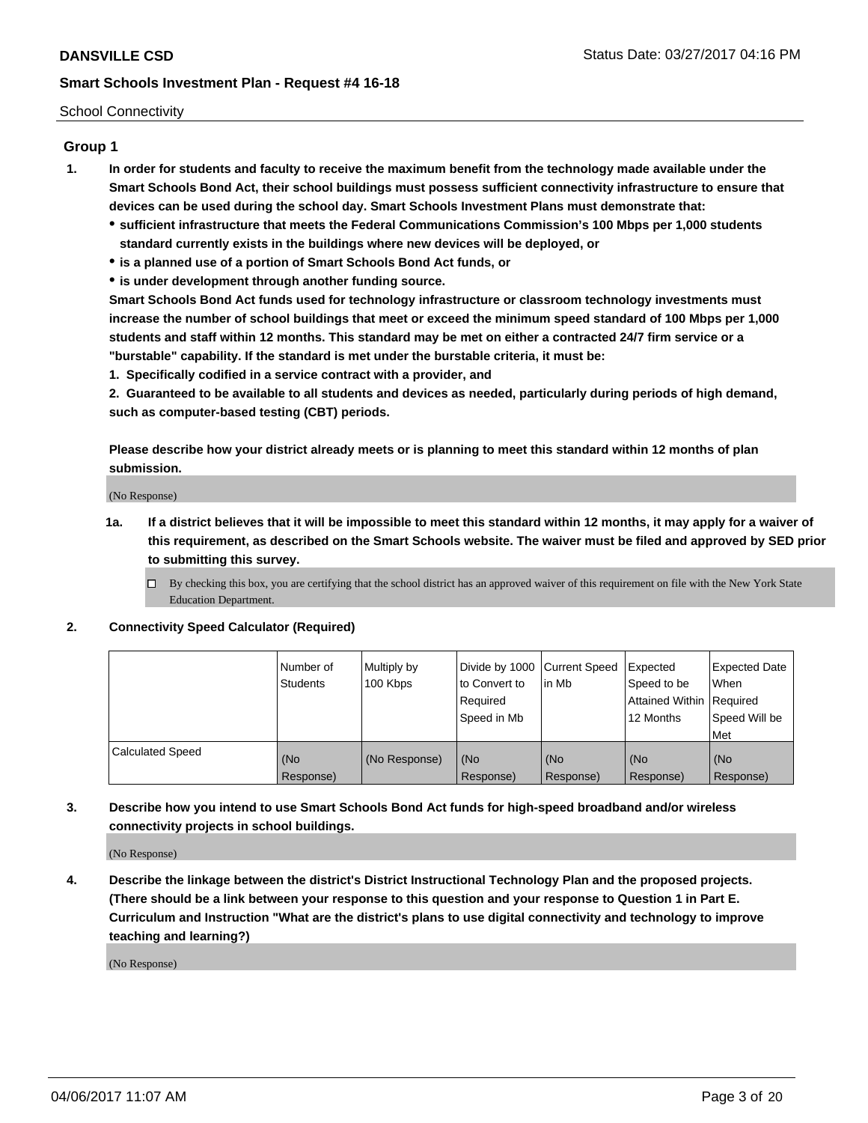#### School Connectivity

## **Group 1**

- **1. In order for students and faculty to receive the maximum benefit from the technology made available under the Smart Schools Bond Act, their school buildings must possess sufficient connectivity infrastructure to ensure that devices can be used during the school day. Smart Schools Investment Plans must demonstrate that:**
	- **sufficient infrastructure that meets the Federal Communications Commission's 100 Mbps per 1,000 students standard currently exists in the buildings where new devices will be deployed, or**
	- **is a planned use of a portion of Smart Schools Bond Act funds, or**
	- **is under development through another funding source.**

**Smart Schools Bond Act funds used for technology infrastructure or classroom technology investments must increase the number of school buildings that meet or exceed the minimum speed standard of 100 Mbps per 1,000 students and staff within 12 months. This standard may be met on either a contracted 24/7 firm service or a "burstable" capability. If the standard is met under the burstable criteria, it must be:**

**1. Specifically codified in a service contract with a provider, and**

**2. Guaranteed to be available to all students and devices as needed, particularly during periods of high demand, such as computer-based testing (CBT) periods.**

**Please describe how your district already meets or is planning to meet this standard within 12 months of plan submission.**

(No Response)

- **1a. If a district believes that it will be impossible to meet this standard within 12 months, it may apply for a waiver of this requirement, as described on the Smart Schools website. The waiver must be filed and approved by SED prior to submitting this survey.**
	- By checking this box, you are certifying that the school district has an approved waiver of this requirement on file with the New York State Education Department.

#### **2. Connectivity Speed Calculator (Required)**

|                         | I Number of<br><b>Students</b> | Multiply by<br>100 Kbps | Divide by 1000   Current Speed<br>to Convert to | lin Mb    | Expected<br>Speed to be  | <b>Expected Date</b><br>When |
|-------------------------|--------------------------------|-------------------------|-------------------------------------------------|-----------|--------------------------|------------------------------|
|                         |                                |                         | Required                                        |           | Attained Within Required |                              |
|                         |                                |                         | Speed in Mb                                     |           | 12 Months                | Speed Will be                |
|                         |                                |                         |                                                 |           |                          | Met                          |
| <b>Calculated Speed</b> | (No                            | (No Response)           | (No                                             | (No       | (No                      | (No                          |
|                         | Response)                      |                         | Response)                                       | Response) | Response)                | Response)                    |

**3. Describe how you intend to use Smart Schools Bond Act funds for high-speed broadband and/or wireless connectivity projects in school buildings.**

(No Response)

**4. Describe the linkage between the district's District Instructional Technology Plan and the proposed projects. (There should be a link between your response to this question and your response to Question 1 in Part E. Curriculum and Instruction "What are the district's plans to use digital connectivity and technology to improve teaching and learning?)**

(No Response)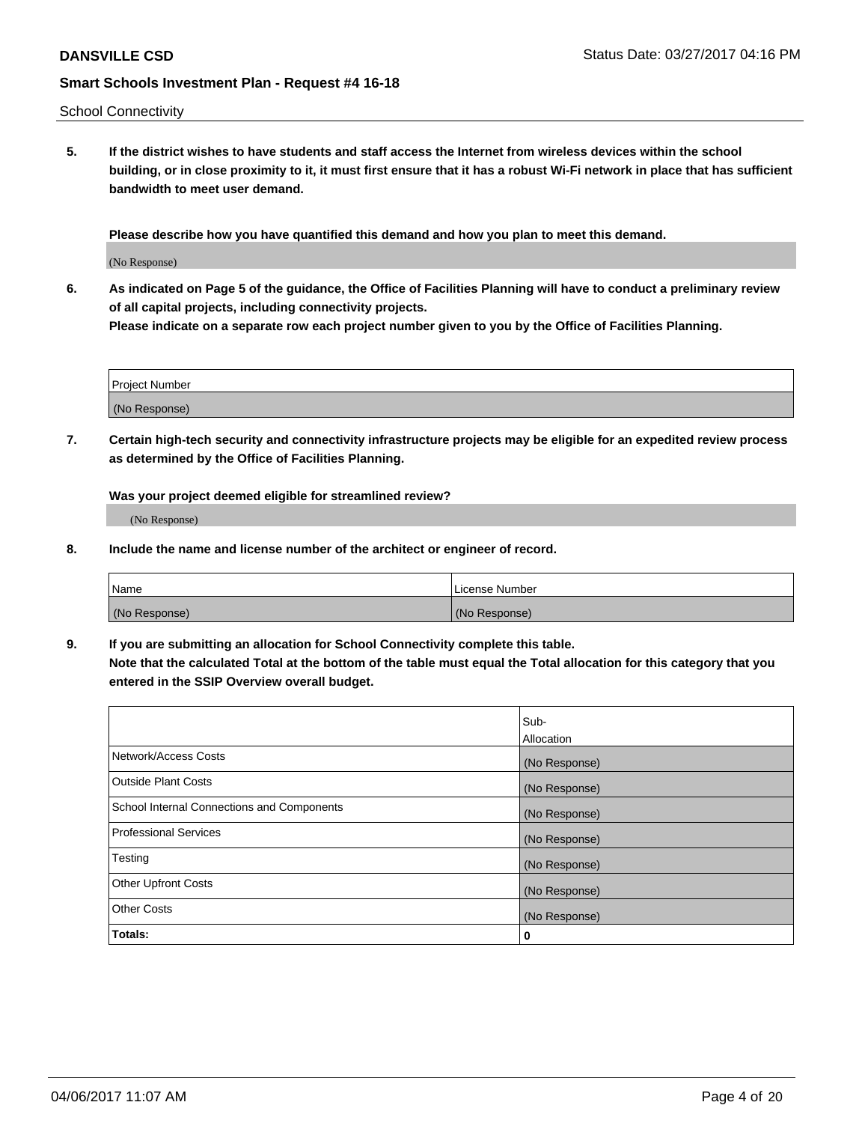School Connectivity

**5. If the district wishes to have students and staff access the Internet from wireless devices within the school building, or in close proximity to it, it must first ensure that it has a robust Wi-Fi network in place that has sufficient bandwidth to meet user demand.**

**Please describe how you have quantified this demand and how you plan to meet this demand.**

(No Response)

**6. As indicated on Page 5 of the guidance, the Office of Facilities Planning will have to conduct a preliminary review of all capital projects, including connectivity projects.**

**Please indicate on a separate row each project number given to you by the Office of Facilities Planning.**

| <b>Project Number</b> |  |
|-----------------------|--|
| (No Response)         |  |

**7. Certain high-tech security and connectivity infrastructure projects may be eligible for an expedited review process as determined by the Office of Facilities Planning.**

**Was your project deemed eligible for streamlined review?**

(No Response)

**8. Include the name and license number of the architect or engineer of record.**

| <b>Name</b>   | License Number |
|---------------|----------------|
| (No Response) | (No Response)  |

**9. If you are submitting an allocation for School Connectivity complete this table. Note that the calculated Total at the bottom of the table must equal the Total allocation for this category that you entered in the SSIP Overview overall budget.** 

|                                                   | Sub-              |
|---------------------------------------------------|-------------------|
|                                                   | <b>Allocation</b> |
| Network/Access Costs                              | (No Response)     |
| Outside Plant Costs                               | (No Response)     |
| <b>School Internal Connections and Components</b> | (No Response)     |
| <b>Professional Services</b>                      | (No Response)     |
| Testing                                           | (No Response)     |
| <b>Other Upfront Costs</b>                        | (No Response)     |
| <b>Other Costs</b>                                | (No Response)     |
| Totals:                                           | 0                 |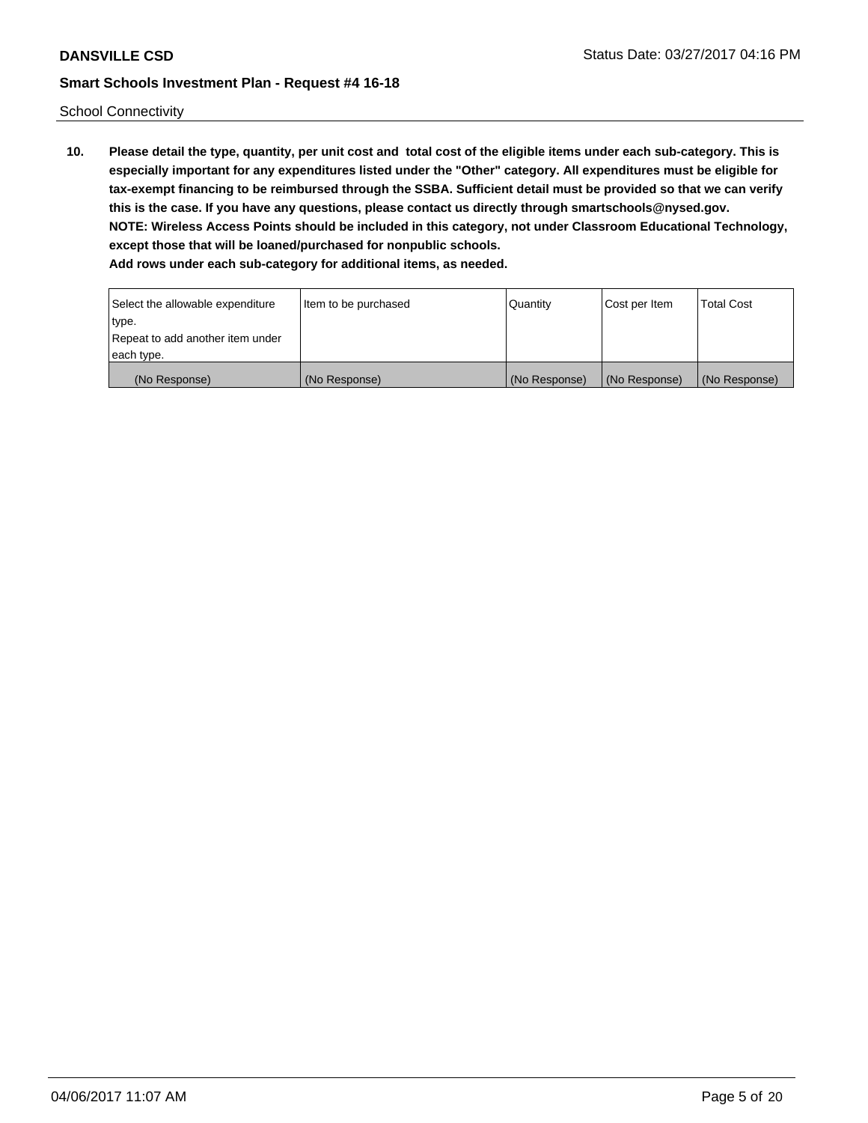School Connectivity

**10. Please detail the type, quantity, per unit cost and total cost of the eligible items under each sub-category. This is especially important for any expenditures listed under the "Other" category. All expenditures must be eligible for tax-exempt financing to be reimbursed through the SSBA. Sufficient detail must be provided so that we can verify this is the case. If you have any questions, please contact us directly through smartschools@nysed.gov. NOTE: Wireless Access Points should be included in this category, not under Classroom Educational Technology, except those that will be loaned/purchased for nonpublic schools. Add rows under each sub-category for additional items, as needed.**

| Select the allowable expenditure | Item to be purchased | Quantity      | Cost per Item | Total Cost    |
|----------------------------------|----------------------|---------------|---------------|---------------|
| type.                            |                      |               |               |               |
| Repeat to add another item under |                      |               |               |               |
| each type.                       |                      |               |               |               |
| (No Response)                    | (No Response)        | (No Response) | (No Response) | (No Response) |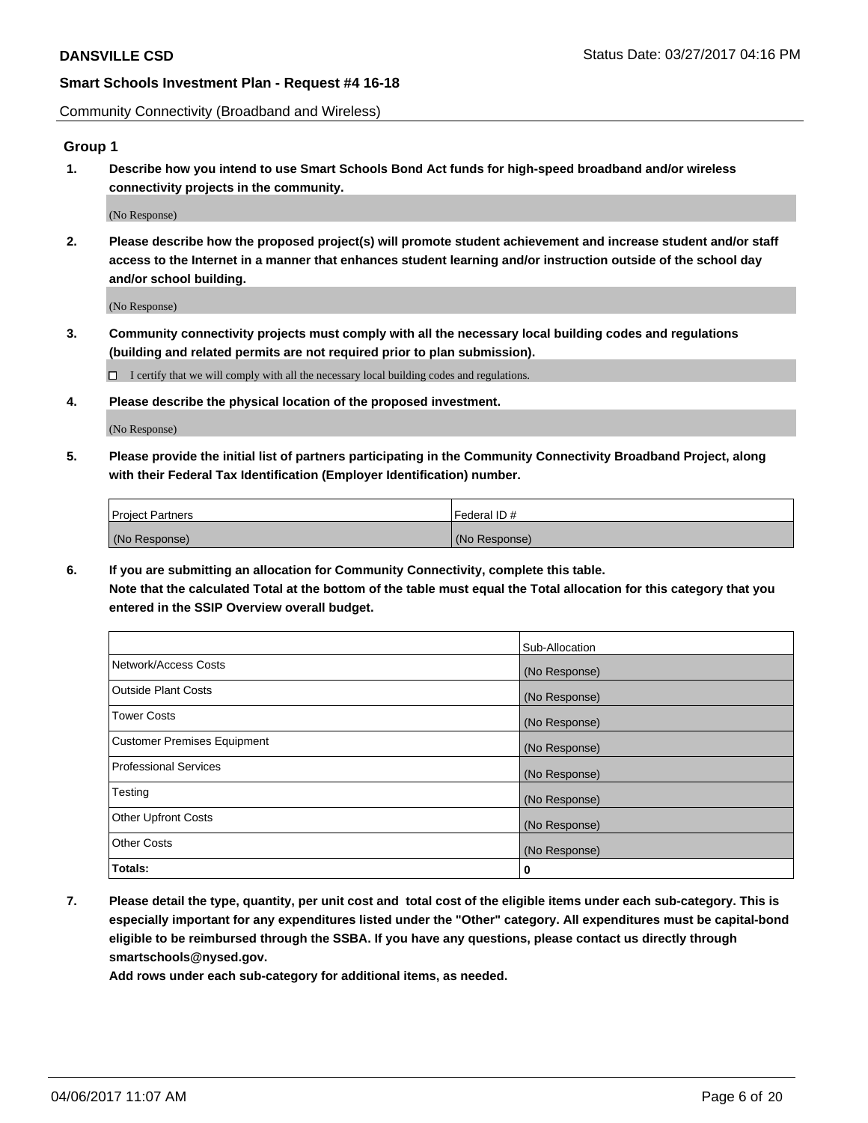Community Connectivity (Broadband and Wireless)

## **Group 1**

**1. Describe how you intend to use Smart Schools Bond Act funds for high-speed broadband and/or wireless connectivity projects in the community.**

(No Response)

**2. Please describe how the proposed project(s) will promote student achievement and increase student and/or staff access to the Internet in a manner that enhances student learning and/or instruction outside of the school day and/or school building.**

(No Response)

**3. Community connectivity projects must comply with all the necessary local building codes and regulations (building and related permits are not required prior to plan submission).**

 $\Box$  I certify that we will comply with all the necessary local building codes and regulations.

**4. Please describe the physical location of the proposed investment.**

(No Response)

**5. Please provide the initial list of partners participating in the Community Connectivity Broadband Project, along with their Federal Tax Identification (Employer Identification) number.**

| <b>Project Partners</b> | l Federal ID # |
|-------------------------|----------------|
| (No Response)           | (No Response)  |

**6. If you are submitting an allocation for Community Connectivity, complete this table. Note that the calculated Total at the bottom of the table must equal the Total allocation for this category that you entered in the SSIP Overview overall budget.**

|                                    | Sub-Allocation |
|------------------------------------|----------------|
| Network/Access Costs               | (No Response)  |
| Outside Plant Costs                | (No Response)  |
| <b>Tower Costs</b>                 | (No Response)  |
| <b>Customer Premises Equipment</b> | (No Response)  |
| Professional Services              | (No Response)  |
| Testing                            | (No Response)  |
| <b>Other Upfront Costs</b>         | (No Response)  |
| <b>Other Costs</b>                 | (No Response)  |
| Totals:                            | 0              |

**7. Please detail the type, quantity, per unit cost and total cost of the eligible items under each sub-category. This is especially important for any expenditures listed under the "Other" category. All expenditures must be capital-bond eligible to be reimbursed through the SSBA. If you have any questions, please contact us directly through smartschools@nysed.gov.**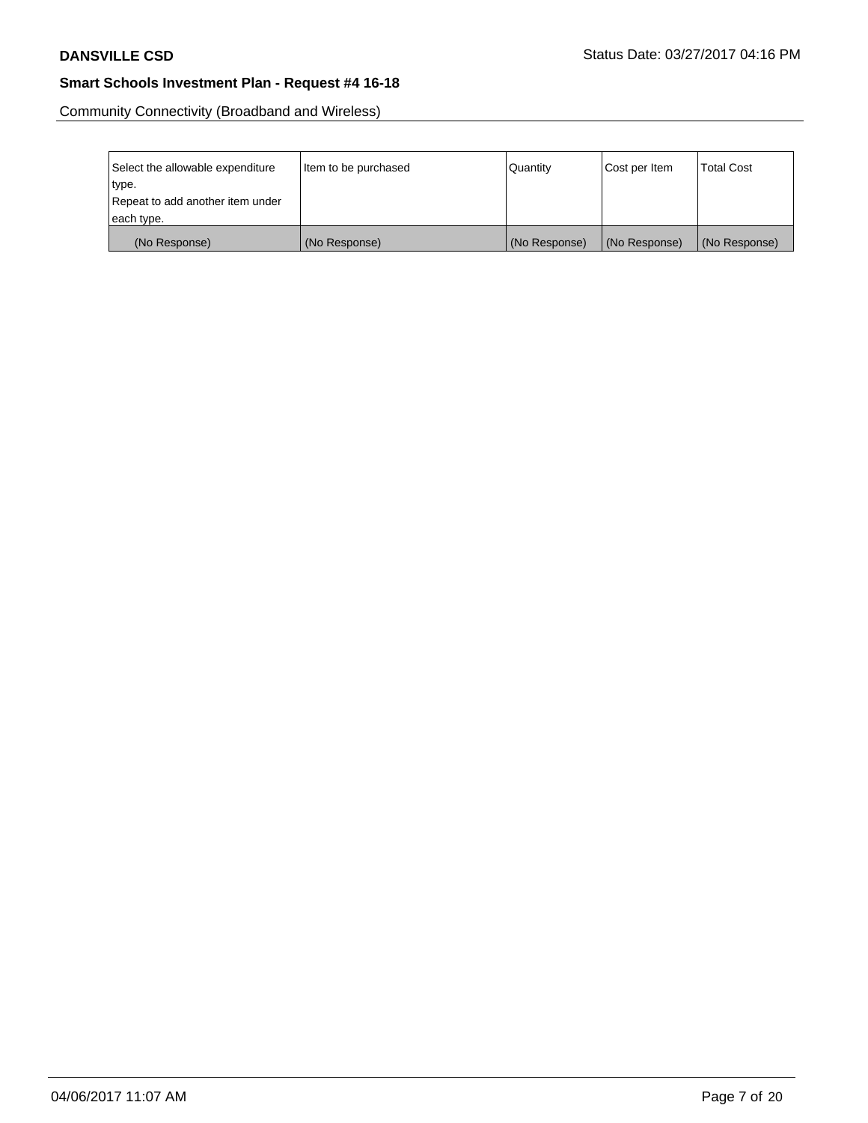Community Connectivity (Broadband and Wireless)

| Select the allowable expenditure | Item to be purchased | Quantity      | Cost per Item | <b>Total Cost</b> |
|----------------------------------|----------------------|---------------|---------------|-------------------|
| type.                            |                      |               |               |                   |
| Repeat to add another item under |                      |               |               |                   |
| each type.                       |                      |               |               |                   |
| (No Response)                    | (No Response)        | (No Response) | (No Response) | (No Response)     |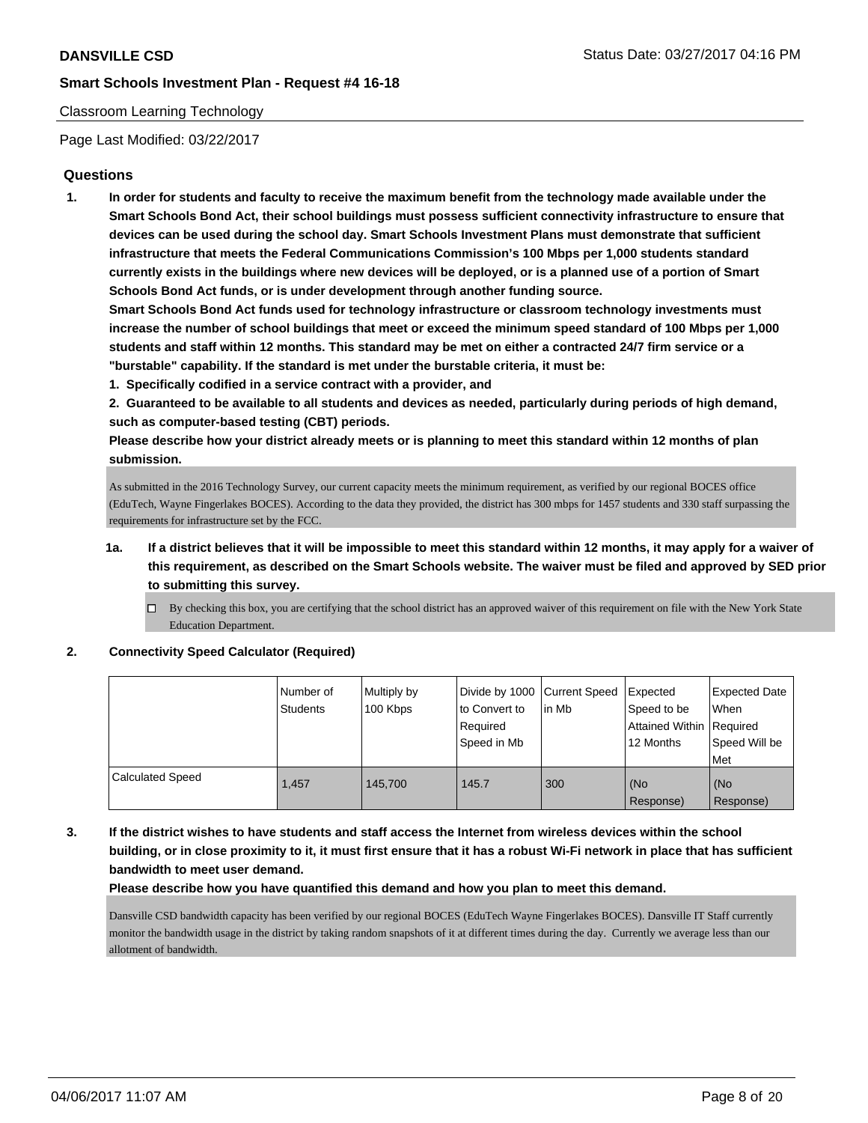#### Classroom Learning Technology

Page Last Modified: 03/22/2017

## **Questions**

**1. In order for students and faculty to receive the maximum benefit from the technology made available under the Smart Schools Bond Act, their school buildings must possess sufficient connectivity infrastructure to ensure that devices can be used during the school day. Smart Schools Investment Plans must demonstrate that sufficient infrastructure that meets the Federal Communications Commission's 100 Mbps per 1,000 students standard currently exists in the buildings where new devices will be deployed, or is a planned use of a portion of Smart Schools Bond Act funds, or is under development through another funding source.**

**Smart Schools Bond Act funds used for technology infrastructure or classroom technology investments must increase the number of school buildings that meet or exceed the minimum speed standard of 100 Mbps per 1,000 students and staff within 12 months. This standard may be met on either a contracted 24/7 firm service or a "burstable" capability. If the standard is met under the burstable criteria, it must be:**

- **1. Specifically codified in a service contract with a provider, and**
- **2. Guaranteed to be available to all students and devices as needed, particularly during periods of high demand, such as computer-based testing (CBT) periods.**

**Please describe how your district already meets or is planning to meet this standard within 12 months of plan submission.**

As submitted in the 2016 Technology Survey, our current capacity meets the minimum requirement, as verified by our regional BOCES office (EduTech, Wayne Fingerlakes BOCES). According to the data they provided, the district has 300 mbps for 1457 students and 330 staff surpassing the requirements for infrastructure set by the FCC.

- **1a. If a district believes that it will be impossible to meet this standard within 12 months, it may apply for a waiver of this requirement, as described on the Smart Schools website. The waiver must be filed and approved by SED prior to submitting this survey.**
	- $\Box$  By checking this box, you are certifying that the school district has an approved waiver of this requirement on file with the New York State Education Department.

**2. Connectivity Speed Calculator (Required)**

|                         | l Number of<br><b>Students</b> | Multiply by<br>100 Kbps | Divide by 1000 Current Speed<br>to Convert to<br>Required<br>Speed in Mb | lin Mb | Expected<br>Speed to be<br>Attained Within   Required<br>12 Months | <b>Expected Date</b><br><b>When</b><br>Speed Will be<br>Met |
|-------------------------|--------------------------------|-------------------------|--------------------------------------------------------------------------|--------|--------------------------------------------------------------------|-------------------------------------------------------------|
| <b>Calculated Speed</b> | 1.457                          | 145.700                 | 145.7                                                                    | 300    | (No<br>Response)                                                   | l (No<br>Response)                                          |

**3. If the district wishes to have students and staff access the Internet from wireless devices within the school building, or in close proximity to it, it must first ensure that it has a robust Wi-Fi network in place that has sufficient bandwidth to meet user demand.**

**Please describe how you have quantified this demand and how you plan to meet this demand.**

Dansville CSD bandwidth capacity has been verified by our regional BOCES (EduTech Wayne Fingerlakes BOCES). Dansville IT Staff currently monitor the bandwidth usage in the district by taking random snapshots of it at different times during the day. Currently we average less than our allotment of bandwidth.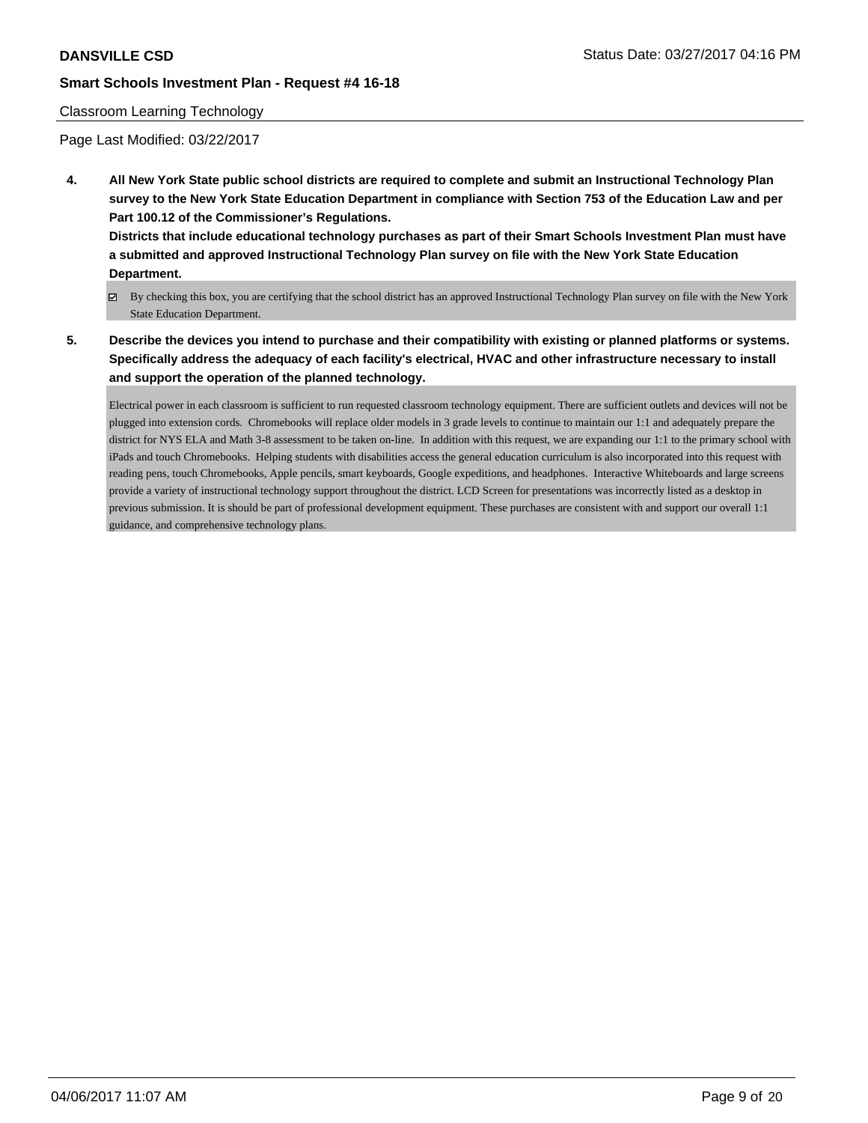#### Classroom Learning Technology

Page Last Modified: 03/22/2017

**4. All New York State public school districts are required to complete and submit an Instructional Technology Plan survey to the New York State Education Department in compliance with Section 753 of the Education Law and per Part 100.12 of the Commissioner's Regulations.**

**Districts that include educational technology purchases as part of their Smart Schools Investment Plan must have a submitted and approved Instructional Technology Plan survey on file with the New York State Education Department.**

- By checking this box, you are certifying that the school district has an approved Instructional Technology Plan survey on file with the New York State Education Department.
- **5. Describe the devices you intend to purchase and their compatibility with existing or planned platforms or systems. Specifically address the adequacy of each facility's electrical, HVAC and other infrastructure necessary to install and support the operation of the planned technology.**

Electrical power in each classroom is sufficient to run requested classroom technology equipment. There are sufficient outlets and devices will not be plugged into extension cords. Chromebooks will replace older models in 3 grade levels to continue to maintain our 1:1 and adequately prepare the district for NYS ELA and Math 3-8 assessment to be taken on-line. In addition with this request, we are expanding our 1:1 to the primary school with iPads and touch Chromebooks. Helping students with disabilities access the general education curriculum is also incorporated into this request with reading pens, touch Chromebooks, Apple pencils, smart keyboards, Google expeditions, and headphones. Interactive Whiteboards and large screens provide a variety of instructional technology support throughout the district. LCD Screen for presentations was incorrectly listed as a desktop in previous submission. It is should be part of professional development equipment. These purchases are consistent with and support our overall 1:1 guidance, and comprehensive technology plans.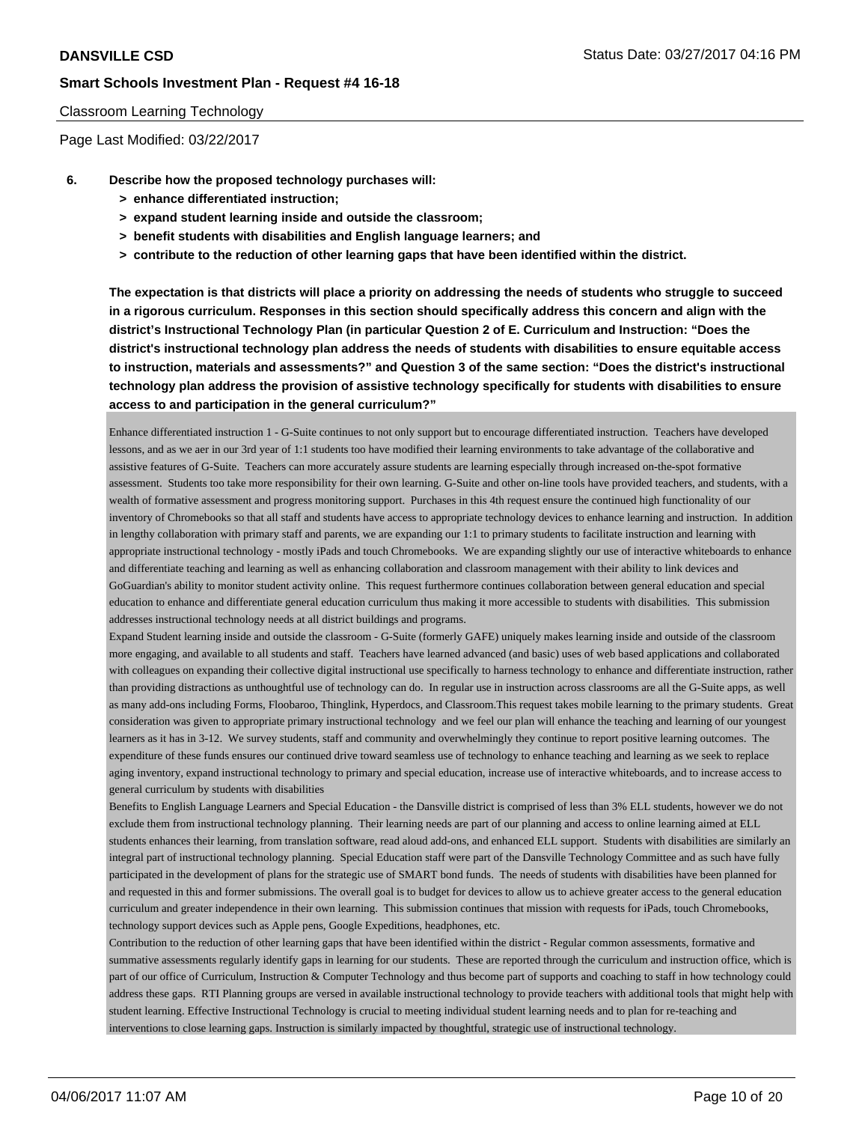#### Classroom Learning Technology

Page Last Modified: 03/22/2017

- **6. Describe how the proposed technology purchases will:**
	- **> enhance differentiated instruction;**
	- **> expand student learning inside and outside the classroom;**
	- **> benefit students with disabilities and English language learners; and**
	- **> contribute to the reduction of other learning gaps that have been identified within the district.**

**The expectation is that districts will place a priority on addressing the needs of students who struggle to succeed in a rigorous curriculum. Responses in this section should specifically address this concern and align with the district's Instructional Technology Plan (in particular Question 2 of E. Curriculum and Instruction: "Does the district's instructional technology plan address the needs of students with disabilities to ensure equitable access to instruction, materials and assessments?" and Question 3 of the same section: "Does the district's instructional technology plan address the provision of assistive technology specifically for students with disabilities to ensure access to and participation in the general curriculum?"**

Enhance differentiated instruction 1 - G-Suite continues to not only support but to encourage differentiated instruction. Teachers have developed lessons, and as we aer in our 3rd year of 1:1 students too have modified their learning environments to take advantage of the collaborative and assistive features of G-Suite. Teachers can more accurately assure students are learning especially through increased on-the-spot formative assessment. Students too take more responsibility for their own learning. G-Suite and other on-line tools have provided teachers, and students, with a wealth of formative assessment and progress monitoring support. Purchases in this 4th request ensure the continued high functionality of our inventory of Chromebooks so that all staff and students have access to appropriate technology devices to enhance learning and instruction. In addition in lengthy collaboration with primary staff and parents, we are expanding our 1:1 to primary students to facilitate instruction and learning with appropriate instructional technology - mostly iPads and touch Chromebooks. We are expanding slightly our use of interactive whiteboards to enhance and differentiate teaching and learning as well as enhancing collaboration and classroom management with their ability to link devices and GoGuardian's ability to monitor student activity online. This request furthermore continues collaboration between general education and special education to enhance and differentiate general education curriculum thus making it more accessible to students with disabilities. This submission addresses instructional technology needs at all district buildings and programs.

Expand Student learning inside and outside the classroom - G-Suite (formerly GAFE) uniquely makes learning inside and outside of the classroom more engaging, and available to all students and staff. Teachers have learned advanced (and basic) uses of web based applications and collaborated with colleagues on expanding their collective digital instructional use specifically to harness technology to enhance and differentiate instruction, rather than providing distractions as unthoughtful use of technology can do. In regular use in instruction across classrooms are all the G-Suite apps, as well as many add-ons including Forms, Floobaroo, Thinglink, Hyperdocs, and Classroom.This request takes mobile learning to the primary students. Great consideration was given to appropriate primary instructional technology and we feel our plan will enhance the teaching and learning of our youngest learners as it has in 3-12. We survey students, staff and community and overwhelmingly they continue to report positive learning outcomes. The expenditure of these funds ensures our continued drive toward seamless use of technology to enhance teaching and learning as we seek to replace aging inventory, expand instructional technology to primary and special education, increase use of interactive whiteboards, and to increase access to general curriculum by students with disabilities

Benefits to English Language Learners and Special Education - the Dansville district is comprised of less than 3% ELL students, however we do not exclude them from instructional technology planning. Their learning needs are part of our planning and access to online learning aimed at ELL students enhances their learning, from translation software, read aloud add-ons, and enhanced ELL support. Students with disabilities are similarly an integral part of instructional technology planning. Special Education staff were part of the Dansville Technology Committee and as such have fully participated in the development of plans for the strategic use of SMART bond funds. The needs of students with disabilities have been planned for and requested in this and former submissions. The overall goal is to budget for devices to allow us to achieve greater access to the general education curriculum and greater independence in their own learning. This submission continues that mission with requests for iPads, touch Chromebooks, technology support devices such as Apple pens, Google Expeditions, headphones, etc.

Contribution to the reduction of other learning gaps that have been identified within the district - Regular common assessments, formative and summative assessments regularly identify gaps in learning for our students. These are reported through the curriculum and instruction office, which is part of our office of Curriculum, Instruction & Computer Technology and thus become part of supports and coaching to staff in how technology could address these gaps. RTI Planning groups are versed in available instructional technology to provide teachers with additional tools that might help with student learning. Effective Instructional Technology is crucial to meeting individual student learning needs and to plan for re-teaching and interventions to close learning gaps. Instruction is similarly impacted by thoughtful, strategic use of instructional technology.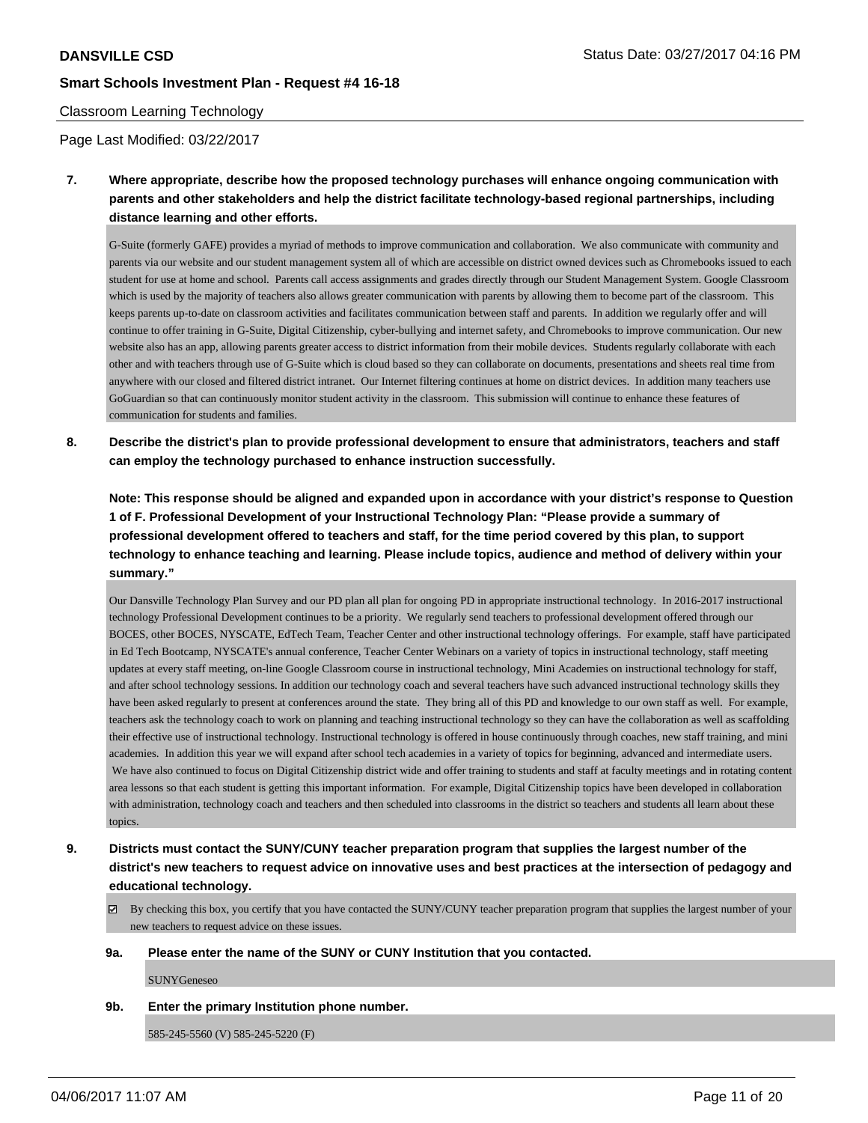#### Classroom Learning Technology

Page Last Modified: 03/22/2017

**7. Where appropriate, describe how the proposed technology purchases will enhance ongoing communication with parents and other stakeholders and help the district facilitate technology-based regional partnerships, including distance learning and other efforts.**

G-Suite (formerly GAFE) provides a myriad of methods to improve communication and collaboration. We also communicate with community and parents via our website and our student management system all of which are accessible on district owned devices such as Chromebooks issued to each student for use at home and school. Parents call access assignments and grades directly through our Student Management System. Google Classroom which is used by the majority of teachers also allows greater communication with parents by allowing them to become part of the classroom. This keeps parents up-to-date on classroom activities and facilitates communication between staff and parents. In addition we regularly offer and will continue to offer training in G-Suite, Digital Citizenship, cyber-bullying and internet safety, and Chromebooks to improve communication. Our new website also has an app, allowing parents greater access to district information from their mobile devices. Students regularly collaborate with each other and with teachers through use of G-Suite which is cloud based so they can collaborate on documents, presentations and sheets real time from anywhere with our closed and filtered district intranet. Our Internet filtering continues at home on district devices. In addition many teachers use GoGuardian so that can continuously monitor student activity in the classroom. This submission will continue to enhance these features of communication for students and families.

**8. Describe the district's plan to provide professional development to ensure that administrators, teachers and staff can employ the technology purchased to enhance instruction successfully.**

**Note: This response should be aligned and expanded upon in accordance with your district's response to Question 1 of F. Professional Development of your Instructional Technology Plan: "Please provide a summary of professional development offered to teachers and staff, for the time period covered by this plan, to support technology to enhance teaching and learning. Please include topics, audience and method of delivery within your summary."**

Our Dansville Technology Plan Survey and our PD plan all plan for ongoing PD in appropriate instructional technology. In 2016-2017 instructional technology Professional Development continues to be a priority. We regularly send teachers to professional development offered through our BOCES, other BOCES, NYSCATE, EdTech Team, Teacher Center and other instructional technology offerings. For example, staff have participated in Ed Tech Bootcamp, NYSCATE's annual conference, Teacher Center Webinars on a variety of topics in instructional technology, staff meeting updates at every staff meeting, on-line Google Classroom course in instructional technology, Mini Academies on instructional technology for staff, and after school technology sessions. In addition our technology coach and several teachers have such advanced instructional technology skills they have been asked regularly to present at conferences around the state. They bring all of this PD and knowledge to our own staff as well. For example, teachers ask the technology coach to work on planning and teaching instructional technology so they can have the collaboration as well as scaffolding their effective use of instructional technology. Instructional technology is offered in house continuously through coaches, new staff training, and mini academies. In addition this year we will expand after school tech academies in a variety of topics for beginning, advanced and intermediate users. We have also continued to focus on Digital Citizenship district wide and offer training to students and staff at faculty meetings and in rotating content area lessons so that each student is getting this important information. For example, Digital Citizenship topics have been developed in collaboration with administration, technology coach and teachers and then scheduled into classrooms in the district so teachers and students all learn about these topics.

- **9. Districts must contact the SUNY/CUNY teacher preparation program that supplies the largest number of the district's new teachers to request advice on innovative uses and best practices at the intersection of pedagogy and educational technology.**
	- $\boxtimes$  By checking this box, you certify that you have contacted the SUNY/CUNY teacher preparation program that supplies the largest number of your new teachers to request advice on these issues.
	- **9a. Please enter the name of the SUNY or CUNY Institution that you contacted.**

SUNYGeneseo

**9b. Enter the primary Institution phone number.**

585-245-5560 (V) 585-245-5220 (F)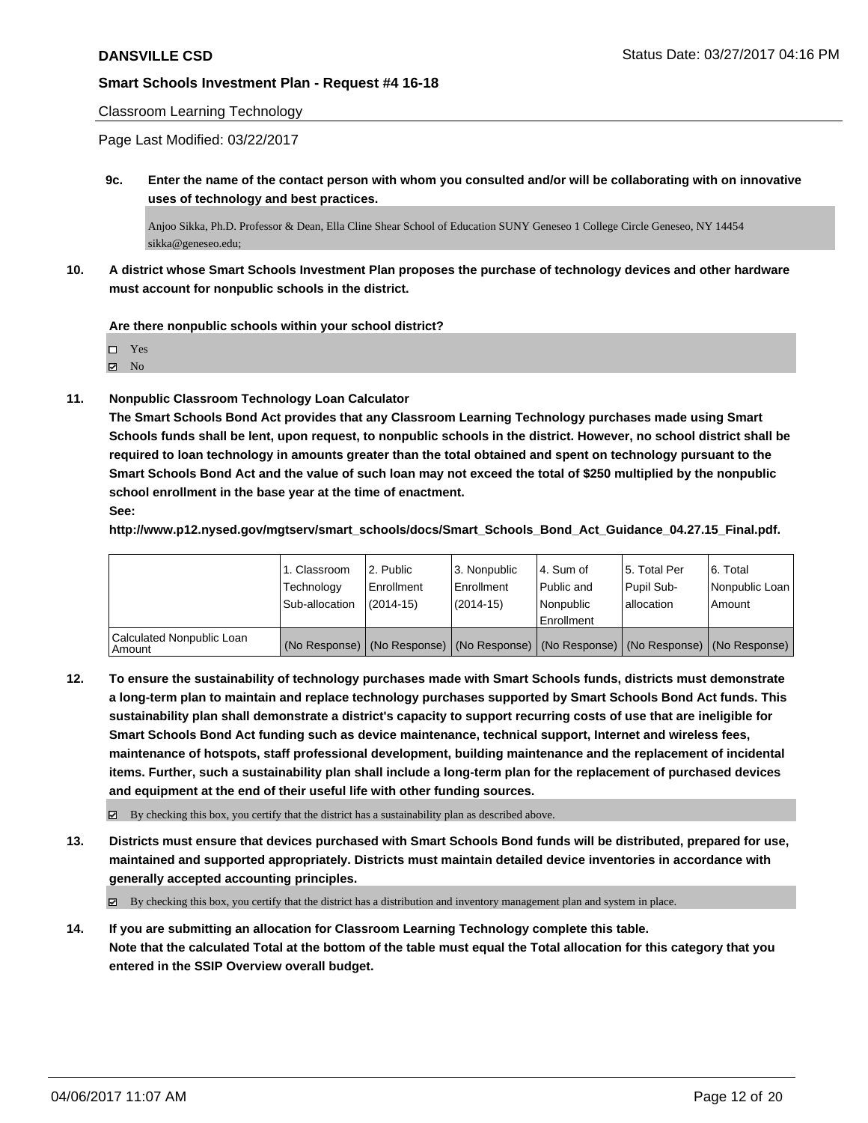#### Classroom Learning Technology

Page Last Modified: 03/22/2017

**9c. Enter the name of the contact person with whom you consulted and/or will be collaborating with on innovative uses of technology and best practices.**

Anjoo Sikka, Ph.D. Professor & Dean, Ella Cline Shear School of Education SUNY Geneseo 1 College Circle Geneseo, NY 14454 sikka@geneseo.edu;

**10. A district whose Smart Schools Investment Plan proposes the purchase of technology devices and other hardware must account for nonpublic schools in the district.**

**Are there nonpublic schools within your school district?**

□ Yes

 $\boxtimes$  No

**11. Nonpublic Classroom Technology Loan Calculator**

**The Smart Schools Bond Act provides that any Classroom Learning Technology purchases made using Smart Schools funds shall be lent, upon request, to nonpublic schools in the district. However, no school district shall be required to loan technology in amounts greater than the total obtained and spent on technology pursuant to the Smart Schools Bond Act and the value of such loan may not exceed the total of \$250 multiplied by the nonpublic school enrollment in the base year at the time of enactment. See:**

**http://www.p12.nysed.gov/mgtserv/smart\_schools/docs/Smart\_Schools\_Bond\_Act\_Guidance\_04.27.15\_Final.pdf.**

|                                       | 1. Classroom<br>Technology<br>Sub-allocation | l 2. Public<br>Enrollment<br>$(2014-15)$ | 3. Nonpublic<br>l Enrollment<br>$(2014-15)$ | l 4. Sum of<br>Public and<br>l Nonpublic<br>Enrollment                                        | l 5. Total Per<br>Pupil Sub-<br>l allocation | l 6. Total<br>Nonpublic Loan<br>Amount |
|---------------------------------------|----------------------------------------------|------------------------------------------|---------------------------------------------|-----------------------------------------------------------------------------------------------|----------------------------------------------|----------------------------------------|
| Calculated Nonpublic Loan<br>l Amount |                                              |                                          |                                             | (No Response)   (No Response)   (No Response)   (No Response)   (No Response)   (No Response) |                                              |                                        |

**12. To ensure the sustainability of technology purchases made with Smart Schools funds, districts must demonstrate a long-term plan to maintain and replace technology purchases supported by Smart Schools Bond Act funds. This sustainability plan shall demonstrate a district's capacity to support recurring costs of use that are ineligible for Smart Schools Bond Act funding such as device maintenance, technical support, Internet and wireless fees, maintenance of hotspots, staff professional development, building maintenance and the replacement of incidental items. Further, such a sustainability plan shall include a long-term plan for the replacement of purchased devices and equipment at the end of their useful life with other funding sources.**

 $\boxtimes$  By checking this box, you certify that the district has a sustainability plan as described above.

**13. Districts must ensure that devices purchased with Smart Schools Bond funds will be distributed, prepared for use, maintained and supported appropriately. Districts must maintain detailed device inventories in accordance with generally accepted accounting principles.**

By checking this box, you certify that the district has a distribution and inventory management plan and system in place.

**14. If you are submitting an allocation for Classroom Learning Technology complete this table. Note that the calculated Total at the bottom of the table must equal the Total allocation for this category that you entered in the SSIP Overview overall budget.**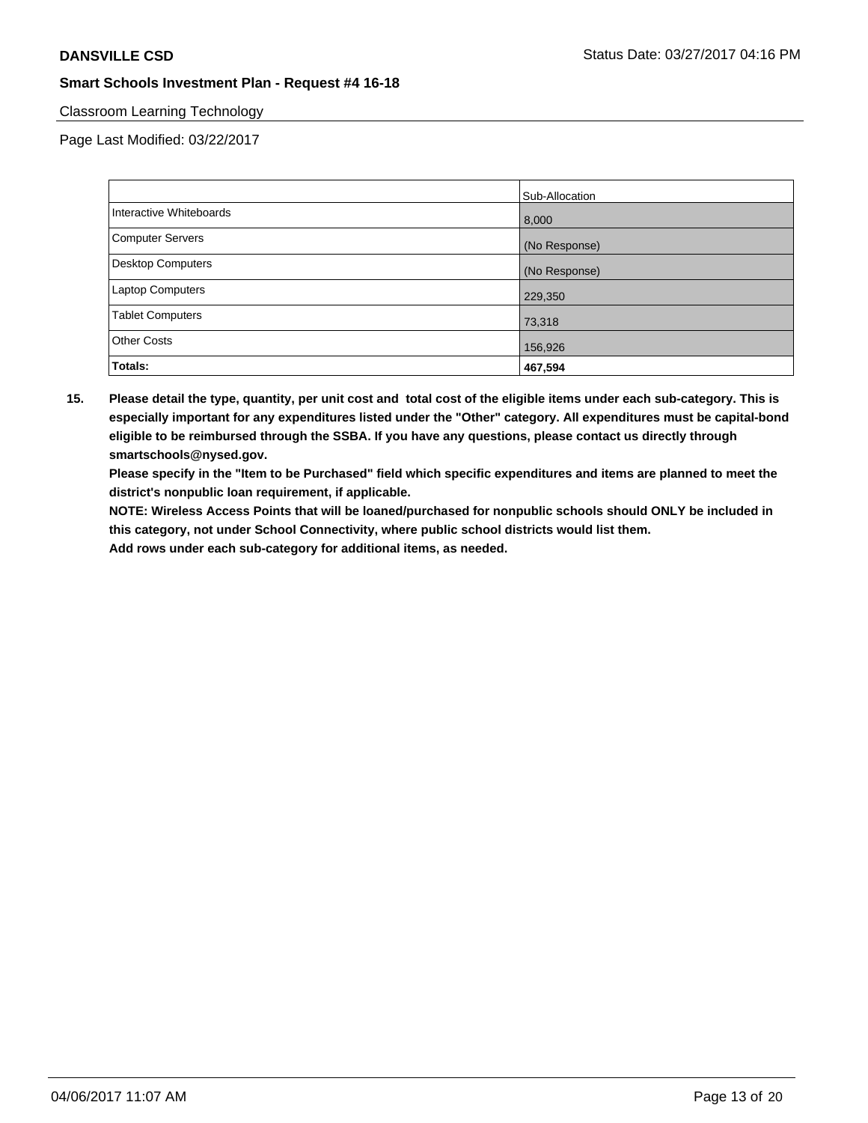# Classroom Learning Technology

Page Last Modified: 03/22/2017

|                         | Sub-Allocation |
|-------------------------|----------------|
| Interactive Whiteboards | 8,000          |
| Computer Servers        | (No Response)  |
| Desktop Computers       | (No Response)  |
| Laptop Computers        | 229,350        |
| <b>Tablet Computers</b> | 73,318         |
| <b>Other Costs</b>      | 156,926        |
| Totals:                 | 467,594        |

**15. Please detail the type, quantity, per unit cost and total cost of the eligible items under each sub-category. This is especially important for any expenditures listed under the "Other" category. All expenditures must be capital-bond eligible to be reimbursed through the SSBA. If you have any questions, please contact us directly through smartschools@nysed.gov.**

**Please specify in the "Item to be Purchased" field which specific expenditures and items are planned to meet the district's nonpublic loan requirement, if applicable.**

**NOTE: Wireless Access Points that will be loaned/purchased for nonpublic schools should ONLY be included in this category, not under School Connectivity, where public school districts would list them.**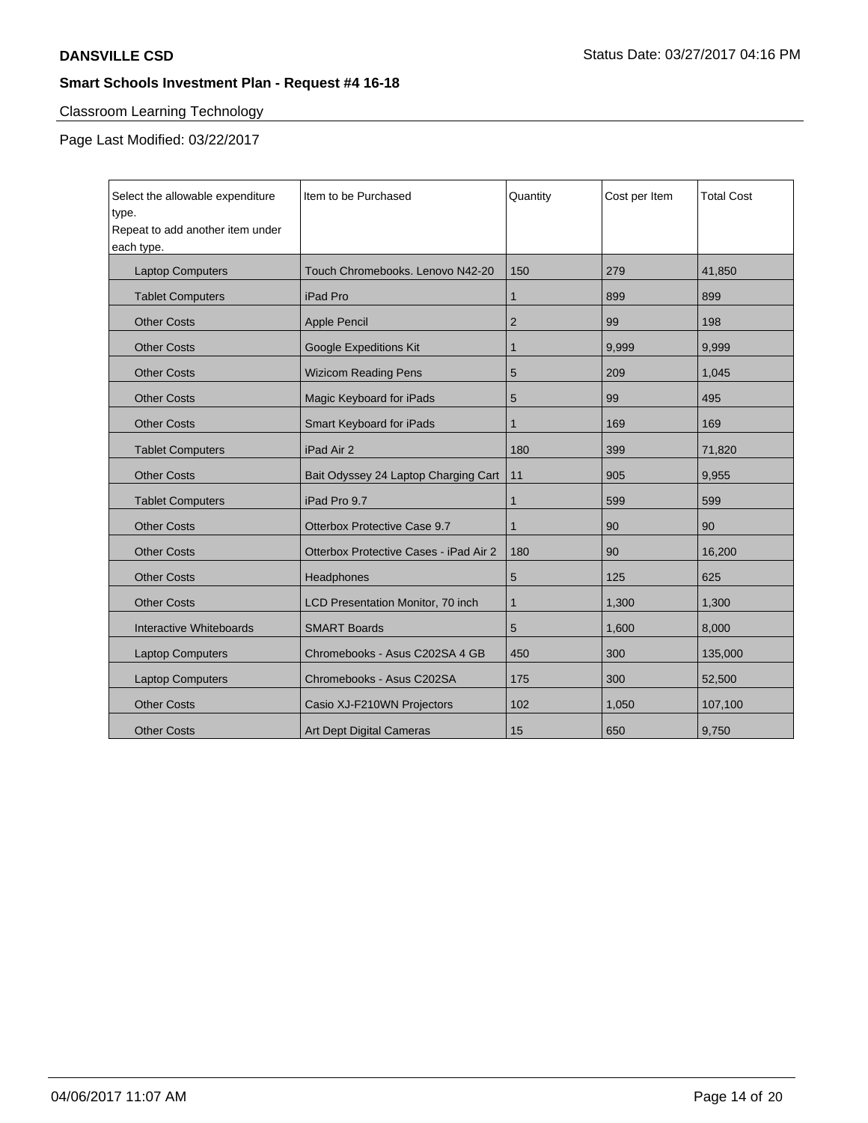# Classroom Learning Technology

Page Last Modified: 03/22/2017

| Select the allowable expenditure<br>type.<br>Repeat to add another item under<br>each type. | Item to be Purchased                   | Quantity     | Cost per Item | <b>Total Cost</b> |
|---------------------------------------------------------------------------------------------|----------------------------------------|--------------|---------------|-------------------|
| <b>Laptop Computers</b>                                                                     | Touch Chromebooks. Lenovo N42-20       | 150          | 279           | 41,850            |
| <b>Tablet Computers</b>                                                                     | iPad Pro                               | 1            | 899           | 899               |
| <b>Other Costs</b>                                                                          | <b>Apple Pencil</b>                    | 2            | 99            | 198               |
| <b>Other Costs</b>                                                                          | <b>Google Expeditions Kit</b>          | 1            | 9,999         | 9,999             |
| <b>Other Costs</b>                                                                          | <b>Wizicom Reading Pens</b>            | 5            | 209           | 1,045             |
| <b>Other Costs</b>                                                                          | Magic Keyboard for iPads               | 5            | 99            | 495               |
| <b>Other Costs</b>                                                                          | Smart Keyboard for iPads               | 1            | 169           | 169               |
| <b>Tablet Computers</b>                                                                     | iPad Air 2                             | 180          | 399           | 71,820            |
| <b>Other Costs</b>                                                                          | Bait Odyssey 24 Laptop Charging Cart   | 11           | 905           | 9,955             |
| <b>Tablet Computers</b>                                                                     | iPad Pro 9.7                           | 1            | 599           | 599               |
| <b>Other Costs</b>                                                                          | Otterbox Protective Case 9.7           | 1            | 90            | 90                |
| <b>Other Costs</b>                                                                          | Otterbox Protective Cases - iPad Air 2 | 180          | 90            | 16,200            |
| <b>Other Costs</b>                                                                          | Headphones                             | 5            | 125           | 625               |
| <b>Other Costs</b>                                                                          | LCD Presentation Monitor, 70 inch      | $\mathbf{1}$ | 1,300         | 1,300             |
| Interactive Whiteboards                                                                     | <b>SMART Boards</b>                    | 5            | 1,600         | 8,000             |
| <b>Laptop Computers</b>                                                                     | Chromebooks - Asus C202SA 4 GB         | 450          | 300           | 135,000           |
| <b>Laptop Computers</b>                                                                     | Chromebooks - Asus C202SA              | 175          | 300           | 52,500            |
| <b>Other Costs</b>                                                                          | Casio XJ-F210WN Projectors             | 102          | 1,050         | 107,100           |
| <b>Other Costs</b>                                                                          | <b>Art Dept Digital Cameras</b>        | 15           | 650           | 9,750             |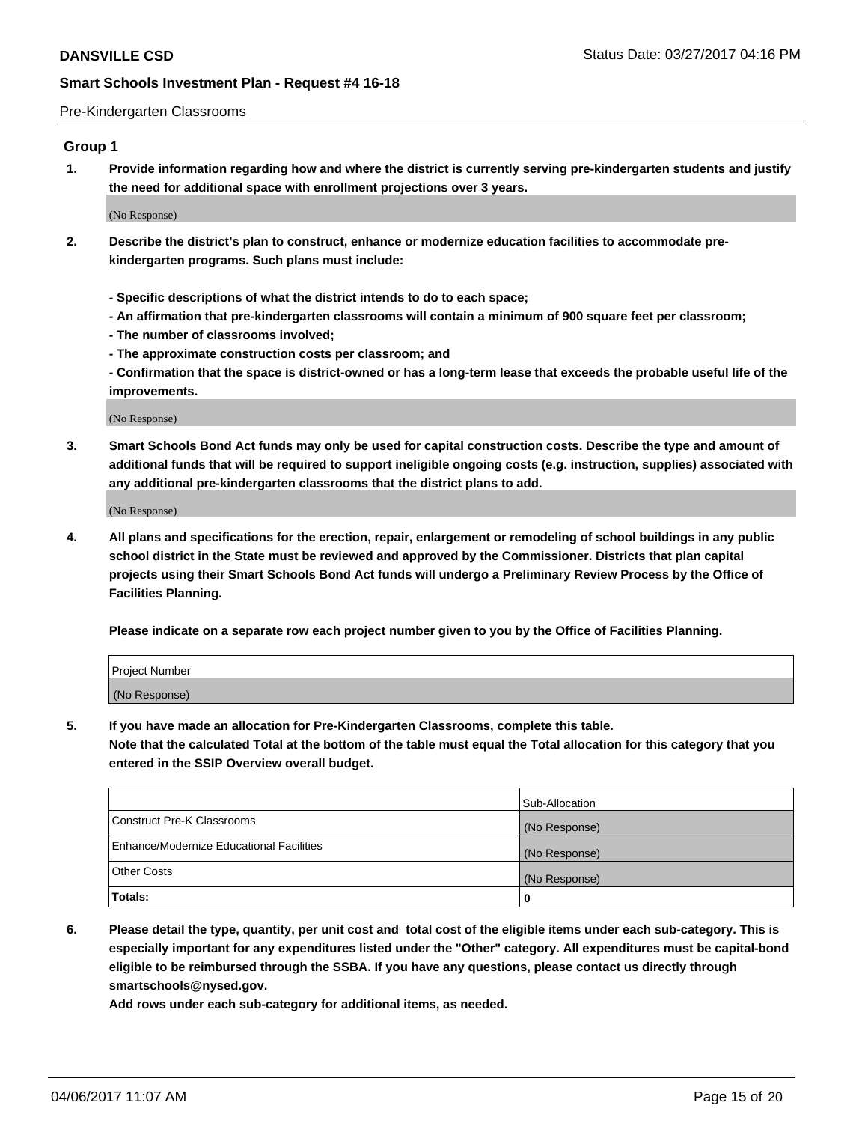#### Pre-Kindergarten Classrooms

## **Group 1**

**1. Provide information regarding how and where the district is currently serving pre-kindergarten students and justify the need for additional space with enrollment projections over 3 years.**

(No Response)

- **2. Describe the district's plan to construct, enhance or modernize education facilities to accommodate prekindergarten programs. Such plans must include:**
	- **Specific descriptions of what the district intends to do to each space;**
	- **An affirmation that pre-kindergarten classrooms will contain a minimum of 900 square feet per classroom;**
	- **The number of classrooms involved;**
	- **The approximate construction costs per classroom; and**

**- Confirmation that the space is district-owned or has a long-term lease that exceeds the probable useful life of the improvements.**

(No Response)

**3. Smart Schools Bond Act funds may only be used for capital construction costs. Describe the type and amount of additional funds that will be required to support ineligible ongoing costs (e.g. instruction, supplies) associated with any additional pre-kindergarten classrooms that the district plans to add.**

(No Response)

**4. All plans and specifications for the erection, repair, enlargement or remodeling of school buildings in any public school district in the State must be reviewed and approved by the Commissioner. Districts that plan capital projects using their Smart Schools Bond Act funds will undergo a Preliminary Review Process by the Office of Facilities Planning.**

**Please indicate on a separate row each project number given to you by the Office of Facilities Planning.**

| Project Number |  |
|----------------|--|
| (No Response)  |  |

**5. If you have made an allocation for Pre-Kindergarten Classrooms, complete this table.**

**Note that the calculated Total at the bottom of the table must equal the Total allocation for this category that you entered in the SSIP Overview overall budget.**

|                                          | Sub-Allocation |
|------------------------------------------|----------------|
| Construct Pre-K Classrooms               | (No Response)  |
| Enhance/Modernize Educational Facilities | (No Response)  |
| Other Costs                              | (No Response)  |
| Totals:                                  | 0              |

**6. Please detail the type, quantity, per unit cost and total cost of the eligible items under each sub-category. This is especially important for any expenditures listed under the "Other" category. All expenditures must be capital-bond eligible to be reimbursed through the SSBA. If you have any questions, please contact us directly through smartschools@nysed.gov.**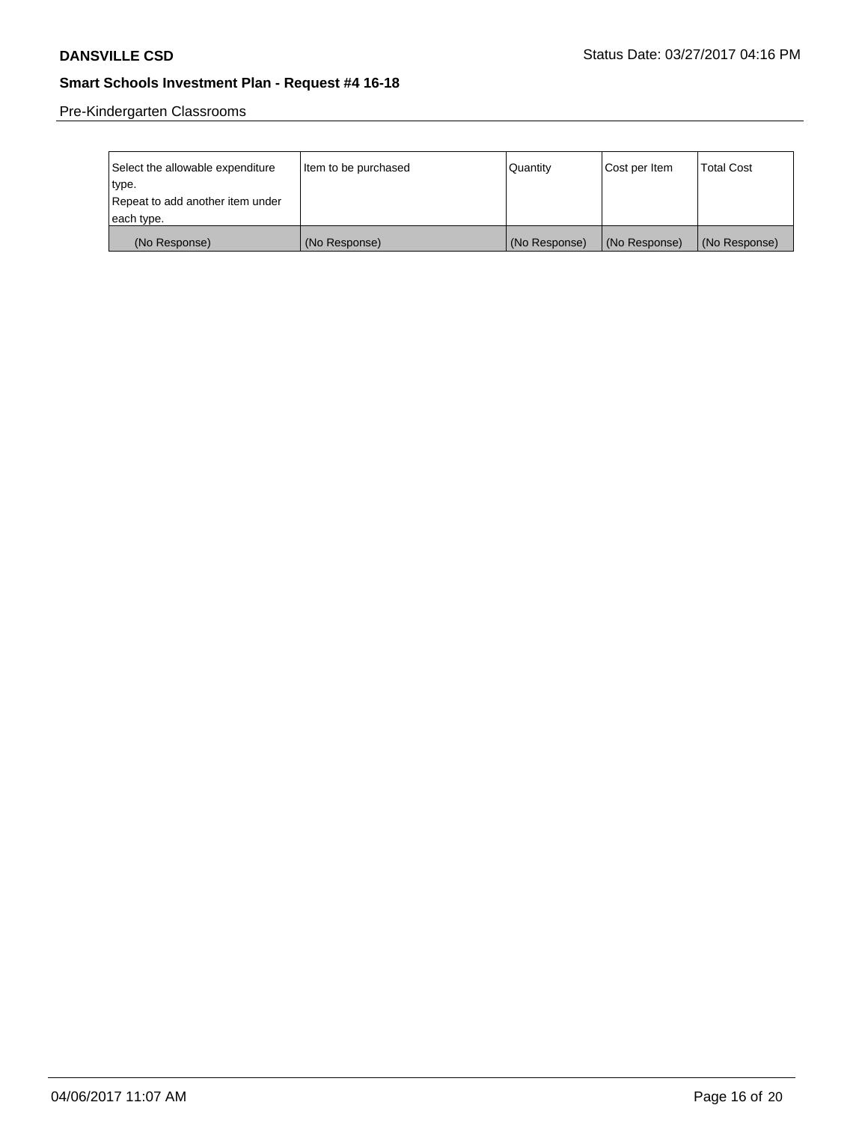Pre-Kindergarten Classrooms

| Select the allowable expenditure | Item to be purchased | Quantity      | Cost per Item | <b>Total Cost</b> |
|----------------------------------|----------------------|---------------|---------------|-------------------|
| type.                            |                      |               |               |                   |
| Repeat to add another item under |                      |               |               |                   |
| each type.                       |                      |               |               |                   |
| (No Response)                    | (No Response)        | (No Response) | (No Response) | (No Response)     |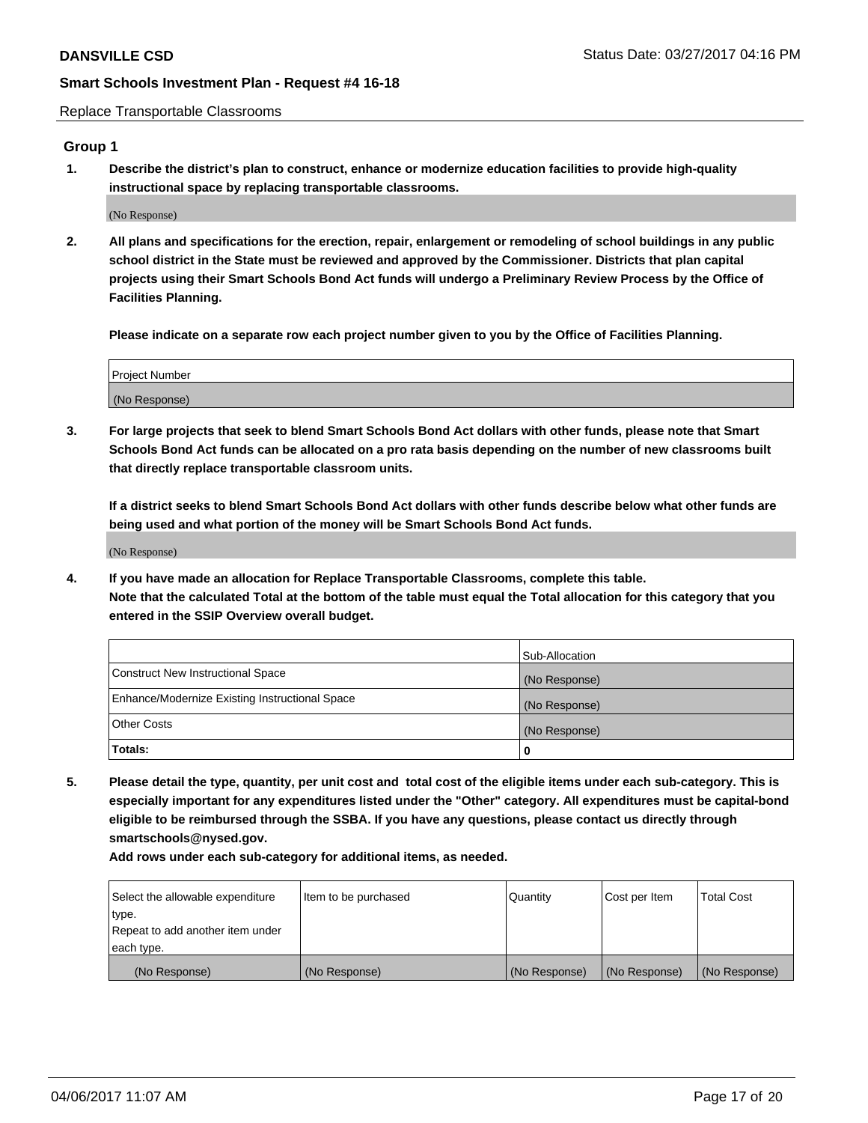Replace Transportable Classrooms

## **Group 1**

**1. Describe the district's plan to construct, enhance or modernize education facilities to provide high-quality instructional space by replacing transportable classrooms.**

(No Response)

**2. All plans and specifications for the erection, repair, enlargement or remodeling of school buildings in any public school district in the State must be reviewed and approved by the Commissioner. Districts that plan capital projects using their Smart Schools Bond Act funds will undergo a Preliminary Review Process by the Office of Facilities Planning.**

**Please indicate on a separate row each project number given to you by the Office of Facilities Planning.**

| Project Number |  |
|----------------|--|
| (No Response)  |  |

**3. For large projects that seek to blend Smart Schools Bond Act dollars with other funds, please note that Smart Schools Bond Act funds can be allocated on a pro rata basis depending on the number of new classrooms built that directly replace transportable classroom units.**

**If a district seeks to blend Smart Schools Bond Act dollars with other funds describe below what other funds are being used and what portion of the money will be Smart Schools Bond Act funds.**

(No Response)

**4. If you have made an allocation for Replace Transportable Classrooms, complete this table. Note that the calculated Total at the bottom of the table must equal the Total allocation for this category that you entered in the SSIP Overview overall budget.**

|                                                | Sub-Allocation |
|------------------------------------------------|----------------|
| Construct New Instructional Space              | (No Response)  |
| Enhance/Modernize Existing Instructional Space | (No Response)  |
| Other Costs                                    | (No Response)  |
| Totals:                                        | 0              |

**5. Please detail the type, quantity, per unit cost and total cost of the eligible items under each sub-category. This is especially important for any expenditures listed under the "Other" category. All expenditures must be capital-bond eligible to be reimbursed through the SSBA. If you have any questions, please contact us directly through smartschools@nysed.gov.**

| Select the allowable expenditure | Item to be purchased | Quantity      | Cost per Item | <b>Total Cost</b> |
|----------------------------------|----------------------|---------------|---------------|-------------------|
| type.                            |                      |               |               |                   |
| Repeat to add another item under |                      |               |               |                   |
| each type.                       |                      |               |               |                   |
| (No Response)                    | (No Response)        | (No Response) | (No Response) | (No Response)     |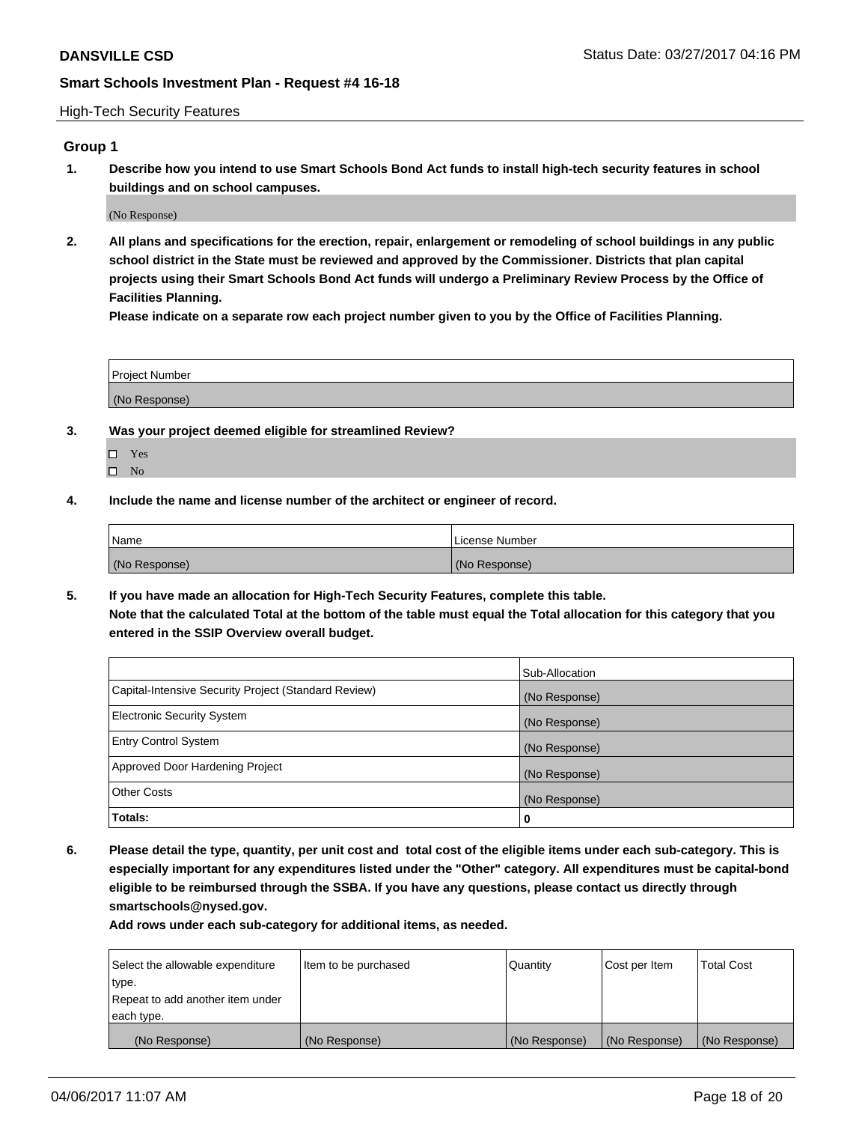High-Tech Security Features

## **Group 1**

**1. Describe how you intend to use Smart Schools Bond Act funds to install high-tech security features in school buildings and on school campuses.**

(No Response)

**2. All plans and specifications for the erection, repair, enlargement or remodeling of school buildings in any public school district in the State must be reviewed and approved by the Commissioner. Districts that plan capital projects using their Smart Schools Bond Act funds will undergo a Preliminary Review Process by the Office of Facilities Planning.** 

**Please indicate on a separate row each project number given to you by the Office of Facilities Planning.**

| <b>Project Number</b>           |  |
|---------------------------------|--|
| (No Response<br>∣ (No Response) |  |

- **3. Was your project deemed eligible for streamlined Review?**
	- Yes  $\square$  No
- **4. Include the name and license number of the architect or engineer of record.**

| <b>Name</b>   | License Number |
|---------------|----------------|
| (No Response) | (No Response)  |

**5. If you have made an allocation for High-Tech Security Features, complete this table. Note that the calculated Total at the bottom of the table must equal the Total allocation for this category that you entered in the SSIP Overview overall budget.**

|                                                      | Sub-Allocation |
|------------------------------------------------------|----------------|
| Capital-Intensive Security Project (Standard Review) | (No Response)  |
| <b>Electronic Security System</b>                    | (No Response)  |
| <b>Entry Control System</b>                          | (No Response)  |
| Approved Door Hardening Project                      | (No Response)  |
| <b>Other Costs</b>                                   | (No Response)  |
| Totals:                                              | 0              |

**6. Please detail the type, quantity, per unit cost and total cost of the eligible items under each sub-category. This is especially important for any expenditures listed under the "Other" category. All expenditures must be capital-bond eligible to be reimbursed through the SSBA. If you have any questions, please contact us directly through smartschools@nysed.gov.**

| Select the allowable expenditure | Item to be purchased | Quantity      | Cost per Item | <b>Total Cost</b> |
|----------------------------------|----------------------|---------------|---------------|-------------------|
| type.                            |                      |               |               |                   |
| Repeat to add another item under |                      |               |               |                   |
| each type.                       |                      |               |               |                   |
| (No Response)                    | (No Response)        | (No Response) | (No Response) | (No Response)     |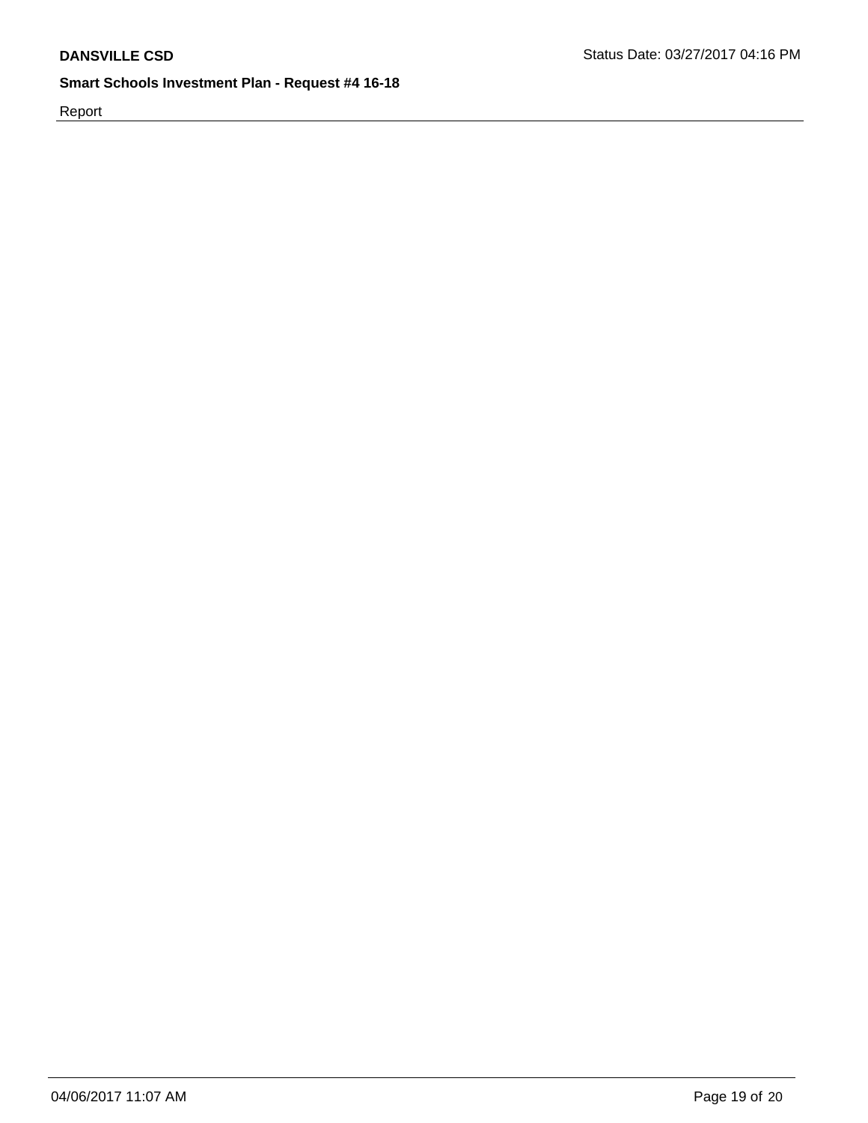Report